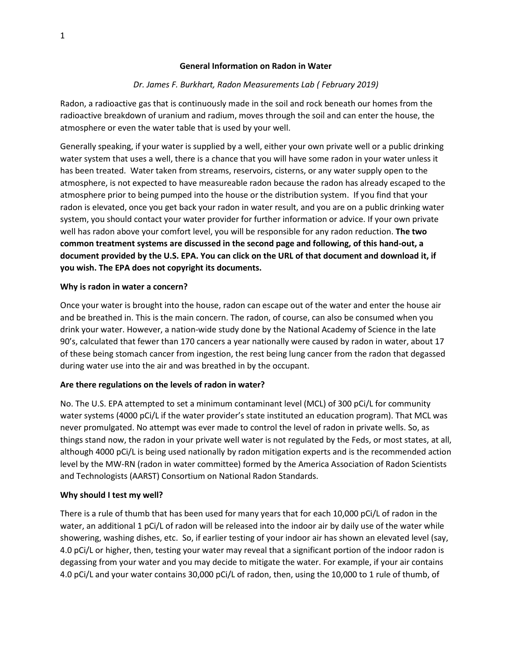### **General Information on Radon in Water**

## *Dr. James F. Burkhart, Radon Measurements Lab ( February 2019)*

Radon, a radioactive gas that is continuously made in the soil and rock beneath our homes from the radioactive breakdown of uranium and radium, moves through the soil and can enter the house, the atmosphere or even the water table that is used by your well.

Generally speaking, if your water is supplied by a well, either your own private well or a public drinking water system that uses a well, there is a chance that you will have some radon in your water unless it has been treated. Water taken from streams, reservoirs, cisterns, or any water supply open to the atmosphere, is not expected to have measureable radon because the radon has already escaped to the atmosphere prior to being pumped into the house or the distribution system. If you find that your radon is elevated, once you get back your radon in water result, and you are on a public drinking water system, you should contact your water provider for further information or advice. If your own private well has radon above your comfort level, you will be responsible for any radon reduction. **The two common treatment systems are discussed in the second page and following, of this hand-out, a document provided by the U.S. EPA. You can click on the URL of that document and download it, if you wish. The EPA does not copyright its documents.**

#### **Why is radon in water a concern?**

Once your water is brought into the house, radon can escape out of the water and enter the house air and be breathed in. This is the main concern. The radon, of course, can also be consumed when you drink your water. However, a nation-wide study done by the National Academy of Science in the late 90's, calculated that fewer than 170 cancers a year nationally were caused by radon in water, about 17 of these being stomach cancer from ingestion, the rest being lung cancer from the radon that degassed during water use into the air and was breathed in by the occupant.

## **Are there regulations on the levels of radon in water?**

No. The U.S. EPA attempted to set a minimum contaminant level (MCL) of 300 pCi/L for community water systems (4000 pCi/L if the water provider's state instituted an education program). That MCL was never promulgated. No attempt was ever made to control the level of radon in private wells. So, as things stand now, the radon in your private well water is not regulated by the Feds, or most states, at all, although 4000 pCi/L is being used nationally by radon mitigation experts and is the recommended action level by the MW-RN (radon in water committee) formed by the America Association of Radon Scientists and Technologists (AARST) Consortium on National Radon Standards.

## **Why should I test my well?**

There is a rule of thumb that has been used for many years that for each 10,000 pCi/L of radon in the water, an additional 1 pCi/L of radon will be released into the indoor air by daily use of the water while showering, washing dishes, etc. So, if earlier testing of your indoor air has shown an elevated level (say, 4.0 pCi/L or higher, then, testing your water may reveal that a significant portion of the indoor radon is degassing from your water and you may decide to mitigate the water. For example, if your air contains 4.0 pCi/L and your water contains 30,000 pCi/L of radon, then, using the 10,000 to 1 rule of thumb, of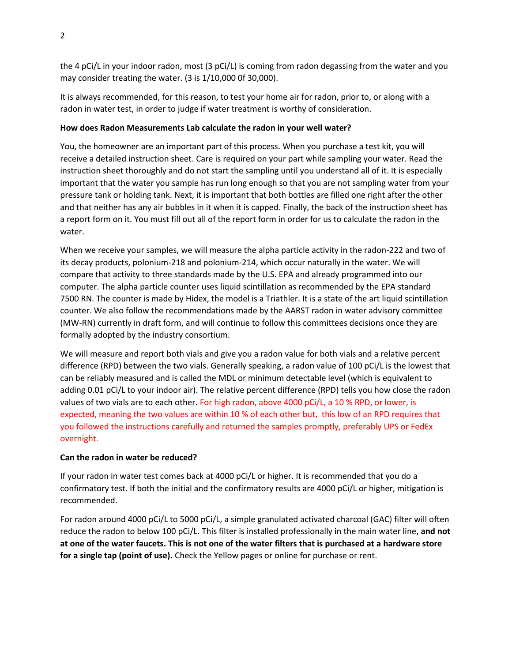the 4 pCi/L in your indoor radon, most (3 pCi/L) is coming from radon degassing from the water and you may consider treating the water. (3 is 1/10,000 0f 30,000).

It is always recommended, for this reason, to test your home air for radon, prior to, or along with a radon in water test, in order to judge if water treatment is worthy of consideration.

## **How does Radon Measurements Lab calculate the radon in your well water?**

You, the homeowner are an important part of this process. When you purchase a test kit, you will receive a detailed instruction sheet. Care is required on your part while sampling your water. Read the instruction sheet thoroughly and do not start the sampling until you understand all of it. It is especially important that the water you sample has run long enough so that you are not sampling water from your pressure tank or holding tank. Next, it is important that both bottles are filled one right after the other and that neither has any air bubbles in it when it is capped. Finally, the back of the instruction sheet has a report form on it. You must fill out all of the report form in order for us to calculate the radon in the water.

When we receive your samples, we will measure the alpha particle activity in the radon-222 and two of its decay products, polonium-218 and polonium-214, which occur naturally in the water. We will compare that activity to three standards made by the U.S. EPA and already programmed into our computer. The alpha particle counter uses liquid scintillation as recommended by the EPA standard 7500 RN. The counter is made by Hidex, the model is a Triathler. It is a state of the art liquid scintillation counter. We also follow the recommendations made by the AARST radon in water advisory committee (MW-RN) currently in draft form, and will continue to follow this committees decisions once they are formally adopted by the industry consortium.

We will measure and report both vials and give you a radon value for both vials and a relative percent difference (RPD) between the two vials. Generally speaking, a radon value of 100 pCi/L is the lowest that can be reliably measured and is called the MDL or minimum detectable level (which is equivalent to adding 0.01 pCi/L to your indoor air). The relative percent difference (RPD) tells you how close the radon values of two vials are to each other. For high radon, above 4000 pCi/L, a 10 % RPD, or lower, is expected, meaning the two values are within 10 % of each other but, this low of an RPD requires that you followed the instructions carefully and returned the samples promptly, preferably UPS or FedEx overnight.

# **Can the radon in water be reduced?**

If your radon in water test comes back at 4000 pCi/L or higher. It is recommended that you do a confirmatory test. If both the initial and the confirmatory results are 4000 pCi/L or higher, mitigation is recommended.

For radon around 4000 pCi/L to 5000 pCi/L, a simple granulated activated charcoal (GAC) filter will often reduce the radon to below 100 pCi/L. This filter is installed professionally in the main water line, **and not at one of the water faucets. This is not one of the water filters that is purchased at a hardware store for a single tap (point of use).** Check the Yellow pages or online for purchase or rent.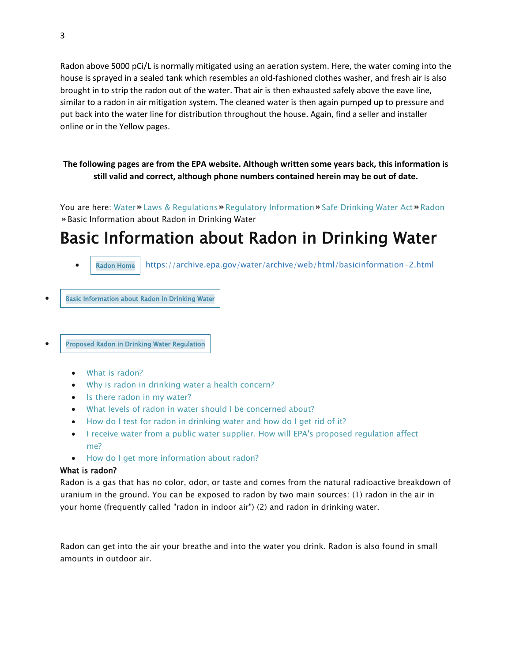Radon above 5000 pCi/L is normally mitigated using an aeration system. Here, the water coming into the house is sprayed in a sealed tank which resembles an old-fashioned clothes washer, and fresh air is also brought in to strip the radon out of the water. That air is then exhausted safely above the eave line, similar to a radon in air mitigation system. The cleaned water is then again pumped up to pressure and put back into the water line for distribution throughout the house. Again, find a seller and installer online or in the Yellow pages.

**The following pages are from the EPA website. Although written some years back, this information is still valid and correct, although phone numbers contained herein may be out of date.**

You are here: [Water](https://water.epa.gov/) » [Laws & Regulations](https://water.epa.gov/lawsregs/) » [Regulatory Information](https://water.epa.gov/lawsregs/rulesregs/) » [Safe Drinking Water Act](https://water.epa.gov/lawsregs/rulesregs/sdwa/) » [Radon](https://water.epa.gov/lawsregs/rulesregs/sdwa/radon/) Basic Information about Radon in Drinking Water

# Basic Information about Radon in Drinking Water

[Radon Home](https://archive.epa.gov/water/archive/web/html/index-9.html) https://archive.epa.gov/water/archive/web/html/basicinformation-2.html

**Basic Information about Radon in Drinking Water** 

• [Proposed Radon in Drinking Water Regulation](https://archive.epa.gov/water/archive/web/html/regulations.html)

- [What is radon?](https://archive.epa.gov/water/archive/web/html/basicinformation-2.html#What%20is%20radon?)
- [Why is radon in drinking water a health concern?](https://archive.epa.gov/water/archive/web/html/basicinformation-2.html#Why%20is%20radon%20in%20drinking%20water%20a%20health%20concern?)
- [Is there radon in my water?](https://archive.epa.gov/water/archive/web/html/basicinformation-2.html#Is%20there%20radon%20in%20my%20water?)
- [What levels of radon in water should I be concerned about?](https://archive.epa.gov/water/archive/web/html/basicinformation-2.html#What%20levels%20of%20radon%20in%20water%20should%20I%20be%20concerned%20about?)
- [How do I test for radon in drinking water and how do I get rid of it?](https://archive.epa.gov/water/archive/web/html/basicinformation-2.html#How%20do%20I%20test%20for%20radon%20in%20drinking%20water%20and%20how%20do%20I%20get%20rid%20of%20it?)
- [I receive water from a public water supplier. How will EPA's proposed regulation affect](https://archive.epa.gov/water/archive/web/html/basicinformation-2.html#I%20receive%20water%20from%20a%20public%20water%20supplier.%20How%20will%20EPA)  [me?](https://archive.epa.gov/water/archive/web/html/basicinformation-2.html#I%20receive%20water%20from%20a%20public%20water%20supplier.%20How%20will%20EPA)
- [How do I get more information about radon?](https://archive.epa.gov/water/archive/web/html/basicinformation-2.html#How%20do%20I%20get%20more%20information%20about%20radon?)

## What is radon?

Radon is a gas that has no color, odor, or taste and comes from the natural radioactive breakdown of uranium in the ground. You can be exposed to radon by two main sources: (1) radon in the air in your home (frequently called "radon in indoor air") (2) and radon in drinking water.

Radon can get into the air your breathe and into the water you drink. Radon is also found in small amounts in outdoor air.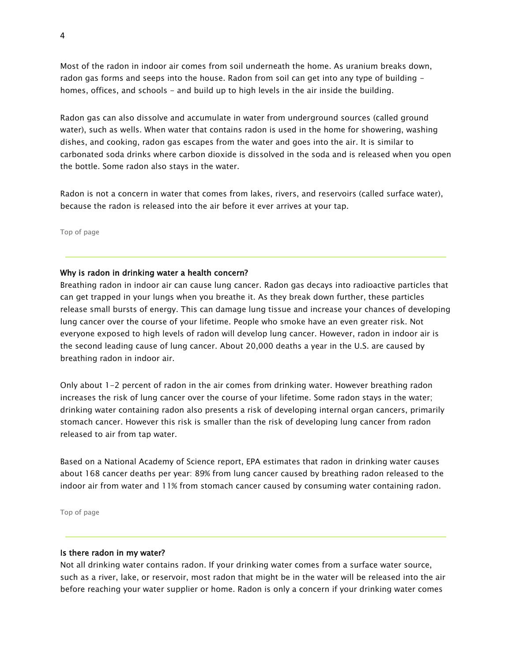Most of the radon in indoor air comes from soil underneath the home. As uranium breaks down, radon gas forms and seeps into the house. Radon from soil can get into any type of building homes, offices, and schools - and build up to high levels in the air inside the building.

Radon gas can also dissolve and accumulate in water from underground sources (called ground water), such as wells. When water that contains radon is used in the home for showering, washing dishes, and cooking, radon gas escapes from the water and goes into the air. It is similar to carbonated soda drinks where carbon dioxide is dissolved in the soda and is released when you open the bottle. Some radon also stays in the water.

Radon is not a concern in water that comes from lakes, rivers, and reservoirs (called surface water), because the radon is released into the air before it ever arrives at your tap.

[Top of page](https://archive.epa.gov/water/archive/web/html/basicinformation-2.html#content)

#### Why is radon in drinking water a health concern?

Breathing radon in indoor air can cause lung cancer. Radon gas decays into radioactive particles that can get trapped in your lungs when you breathe it. As they break down further, these particles release small bursts of energy. This can damage lung tissue and increase your chances of developing lung cancer over the course of your lifetime. People who smoke have an even greater risk. Not everyone exposed to high levels of radon will develop lung cancer. However, radon in indoor air is the second leading cause of lung cancer. About 20,000 deaths a year in the U.S. are caused by breathing radon in indoor air.

Only about 1-2 percent of radon in the air comes from drinking water. However breathing radon increases the risk of lung cancer over the course of your lifetime. Some radon stays in the water; drinking water containing radon also presents a risk of developing internal organ cancers, primarily stomach cancer. However this risk is smaller than the risk of developing lung cancer from radon released to air from tap water.

Based on a National Academy of Science report, EPA estimates that radon in drinking water causes about 168 cancer deaths per year: 89% from lung cancer caused by breathing radon released to the indoor air from water and 11% from stomach cancer caused by consuming water containing radon.

[Top of page](https://archive.epa.gov/water/archive/web/html/basicinformation-2.html#content)

#### Is there radon in my water?

Not all drinking water contains radon. If your drinking water comes from a surface water source, such as a river, lake, or reservoir, most radon that might be in the water will be released into the air before reaching your water supplier or home. Radon is only a concern if your drinking water comes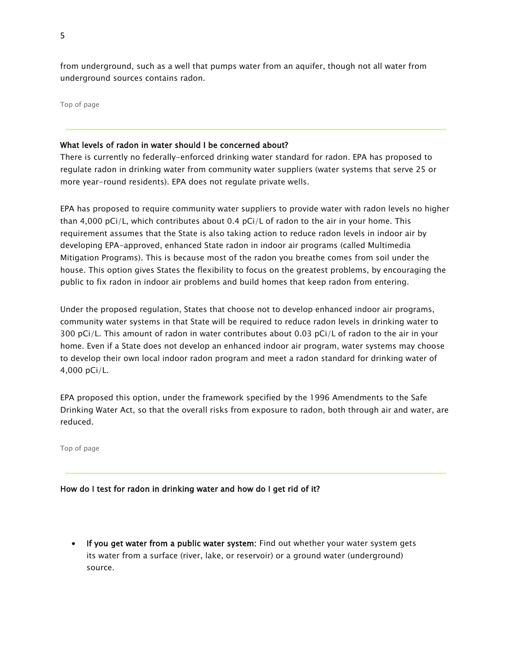from underground, such as a well that pumps water from an aquifer, though not all water from underground sources contains radon.

[Top of page](https://archive.epa.gov/water/archive/web/html/basicinformation-2.html#content)

## What levels of radon in water should I be concerned about?

There is currently no federally-enforced drinking water standard for radon. EPA has proposed to regulate radon in drinking water from community water suppliers (water systems that serve 25 or more year-round residents). EPA does not regulate private wells.

EPA has proposed to require community water suppliers to provide water with radon levels no higher than 4,000 pCi/L, which contributes about 0.4 pCi/L of radon to the air in your home. This requirement assumes that the State is also taking action to reduce radon levels in indoor air by developing EPA-approved, enhanced State radon in indoor air programs (called Multimedia Mitigation Programs). This is because most of the radon you breathe comes from soil under the house. This option gives States the flexibility to focus on the greatest problems, by encouraging the public to fix radon in indoor air problems and build homes that keep radon from entering.

Under the proposed regulation, States that choose not to develop enhanced indoor air programs, community water systems in that State will be required to reduce radon levels in drinking water to 300 pCi/L. This amount of radon in water contributes about 0.03 pCi/L of radon to the air in your home. Even if a State does not develop an enhanced indoor air program, water systems may choose to develop their own local indoor radon program and meet a radon standard for drinking water of 4,000 pCi/L.

EPA proposed this option, under the framework specified by the 1996 Amendments to the Safe Drinking Water Act, so that the overall risks from exposure to radon, both through air and water, are reduced.

[Top of page](https://archive.epa.gov/water/archive/web/html/basicinformation-2.html#content)

#### How do I test for radon in drinking water and how do I get rid of it?

• If you get water from a public water system: Find out whether your water system gets its water from a surface (river, lake, or reservoir) or a ground water (underground) source.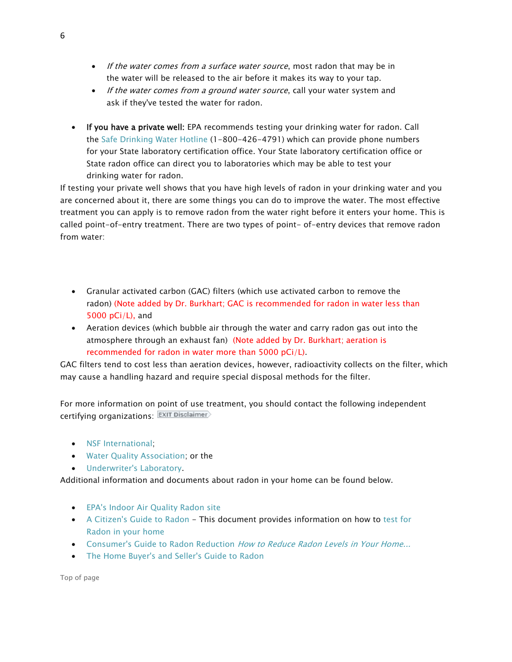- If the water comes from a surface water source, most radon that may be in the water will be released to the air before it makes its way to your tap.
- If the water comes from a ground water source, call your water system and ask if they've tested the water for radon.
- If you have a private well: EPA recommends testing your drinking water for radon. Call the [Safe Drinking Water Hotline](https://water.epa.gov/drink/hotline/index.cfm) (1-800-426-4791) which can provide phone numbers for your State laboratory certification office. Your State laboratory certification office or State radon office can direct you to laboratories which may be able to test your drinking water for radon.

If testing your private well shows that you have high levels of radon in your drinking water and you are concerned about it, there are some things you can do to improve the water. The most effective treatment you can apply is to remove radon from the water right before it enters your home. This is called point-of-entry treatment. There are two types of point- of-entry devices that remove radon from water:

- Granular activated carbon (GAC) filters (which use activated carbon to remove the radon) (Note added by Dr. Burkhart; GAC is recommended for radon in water less than 5000 pCi/L), and
- Aeration devices (which bubble air through the water and carry radon gas out into the atmosphere through an exhaust fan) (Note added by Dr. Burkhart; aeration is recommended for radon in water more than 5000 pCi/L).

GAC filters tend to cost less than aeration devices, however, radioactivity collects on the filter, which may cause a handling hazard and require special disposal methods for the filter.

For more information on point of use treatment, you should contact the following independent certifying organizations:

- NSF International:
- [Water Quality Association;](http://www.wqa.org/sitelogic.cfm?id=1165§ion=3) or the
- [Underwriter's Laboratory.](http://www.ul.com/global/eng/pages/offerings/industries/waterandfood/water/prodcert/units/)

Additional information and documents about radon in your home can be found below.

- [EPA's Indoor Air Quality Radon site](https://www.epa.gov/radon)
- [A Citizen's Guide to Radon](https://www.epa.gov/radon/pubs/citguide.html) This document provides information on how to [test for](https://www.epa.gov/radon/pubs/citguide.html#howtotest)  [Radon in your home](https://www.epa.gov/radon/pubs/citguide.html#howtotest)
- [Consumer's Guide to Radon Reduction](https://www.epa.gov/radon/pubs/consguid.html) How to Reduce Radon Levels in Your Home...
- [The Home Buyer's and Seller's Guide to Radon](https://www.epa.gov/radon/pubs/hmbyguid.html)

[Top of page](https://archive.epa.gov/water/archive/web/html/basicinformation-2.html#content)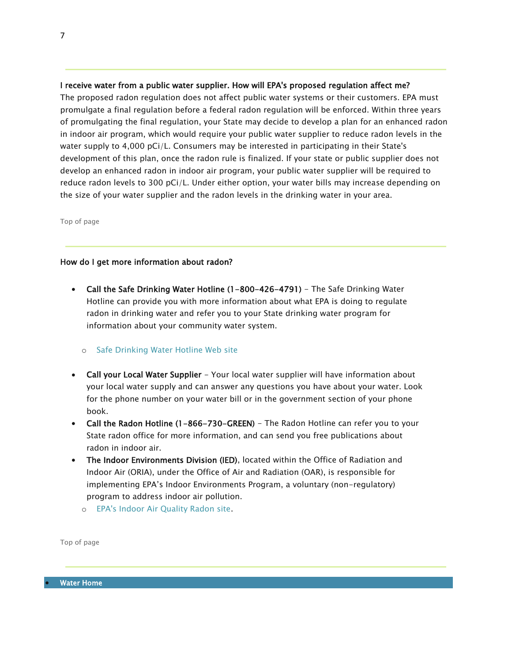#### I receive water from a public water supplier. How will EPA's proposed regulation affect me?

The proposed radon regulation does not affect public water systems or their customers. EPA must promulgate a final regulation before a federal radon regulation will be enforced. Within three years of promulgating the final regulation, your State may decide to develop a plan for an enhanced radon in indoor air program, which would require your public water supplier to reduce radon levels in the water supply to 4,000 pCi/L. Consumers may be interested in participating in their State's development of this plan, once the radon rule is finalized. If your state or public supplier does not develop an enhanced radon in indoor air program, your public water supplier will be required to reduce radon levels to 300 pCi/L. Under either option, your water bills may increase depending on the size of your water supplier and the radon levels in the drinking water in your area.

[Top of page](https://archive.epa.gov/water/archive/web/html/basicinformation-2.html#content)

#### How do I get more information about radon?

• Call the Safe Drinking Water Hotline (1-800-426-4791) - The Safe Drinking Water Hotline can provide you with more information about what EPA is doing to regulate radon in drinking water and refer you to your State drinking water program for information about your community water system.

#### o [Safe Drinking Water Hotline Web site](https://water.epa.gov/drink/hotline/index.cfm)

- Call your Local Water Supplier Your local water supplier will have information about your local water supply and can answer any questions you have about your water. Look for the phone number on your water bill or in the government section of your phone book.
- Call the Radon Hotline (1-866-730-GREEN) The Radon Hotline can refer you to your State radon office for more information, and can send you free publications about radon in indoor air.
- The Indoor Environments Division (IED), located within the Office of Radiation and Indoor Air (ORIA), under the Office of Air and Radiation (OAR), is responsible for implementing EPA's Indoor Environments Program, a voluntary (non-regulatory) program to address indoor air pollution.
	- o [EPA's Indoor Air Quality Radon site.](https://www.epa.gov/radon)

[Top of page](https://archive.epa.gov/water/archive/web/html/basicinformation-2.html#content)